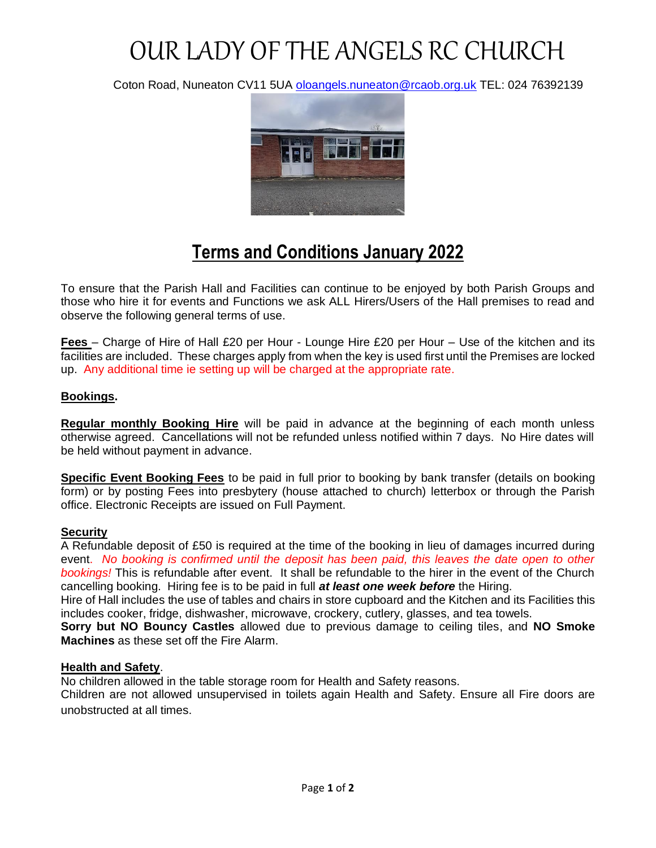# OUR LADY OF THE ANGELS RC CHURCH

Coton Road, Nuneaton CV11 5UA [oloangels.nuneaton@rcaob.org.uk](mailto:oloangels.nuneaton@rcaob.org.uk) TEL: 024 76392139



## **Terms and Conditions January 2022**

To ensure that the Parish Hall and Facilities can continue to be enjoyed by both Parish Groups and those who hire it for events and Functions we ask ALL Hirers/Users of the Hall premises to read and observe the following general terms of use.

**Fees** – Charge of Hire of Hall £20 per Hour - Lounge Hire £20 per Hour – Use of the kitchen and its facilities are included. These charges apply from when the key is used first until the Premises are locked up. Any additional time ie setting up will be charged at the appropriate rate.

#### **Bookings.**

**Regular monthly Booking Hire** will be paid in advance at the beginning of each month unless otherwise agreed. Cancellations will not be refunded unless notified within 7 days. No Hire dates will be held without payment in advance.

**Specific Event Booking Fees** to be paid in full prior to booking by bank transfer (details on booking form) or by posting Fees into presbytery (house attached to church) letterbox or through the Parish office. Electronic Receipts are issued on Full Payment.

#### **Security**

A Refundable deposit of £50 is required at the time of the booking in lieu of damages incurred during event. *No booking is confirmed until the deposit has been paid, this leaves the date open to other bookings!* This is refundable after event. It shall be refundable to the hirer in the event of the Church cancelling booking. Hiring fee is to be paid in full *at least one week before* the Hiring.

Hire of Hall includes the use of tables and chairs in store cupboard and the Kitchen and its Facilities this includes cooker, fridge, dishwasher, microwave, crockery, cutlery, glasses, and tea towels.

**Sorry but NO Bouncy Castles** allowed due to previous damage to ceiling tiles, and **NO Smoke Machines** as these set off the Fire Alarm.

#### **Health and Safety**.

No children allowed in the table storage room for Health and Safety reasons.

Children are not allowed unsupervised in toilets again Health and Safety. Ensure all Fire doors are unobstructed at all times.